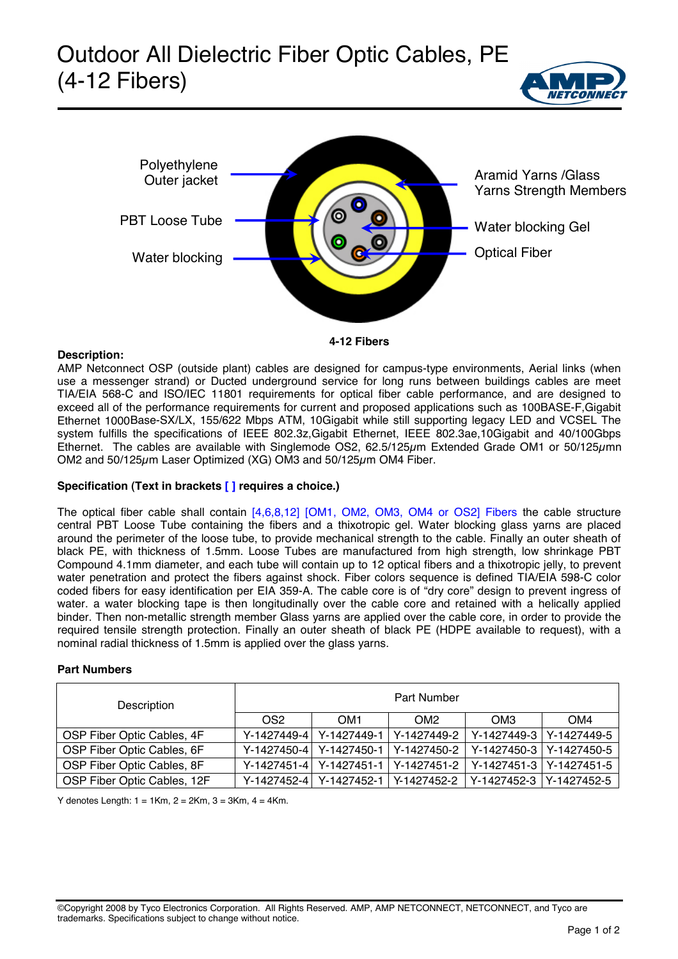# Outdoor All Dielectric Fiber Optic Cables, PE (4-12 Fibers)





### **Description:**

AMP Netconnect OSP (outside plant) cables are designed for campus-type environments, Aerial links (when use a messenger strand) or Ducted underground service for long runs between buildings cables are meet TIA/EIA 568-C and ISO/IEC 11801 requirements for optical fiber cable performance, and are designed to exceed all of the performance requirements for current and proposed applications such as 100BASE-F,Gigabit Ethernet 1000Base-SX/LX, 155/622 Mbps ATM, 10Gigabit while still supporting legacy LED and VCSEL The system fulfills the specifications of IEEE 802.3z,Gigabit Ethernet, IEEE 802.3ae,10Gigabit and 40/100Gbps Ethernet. The cables are available with Singlemode OS2, 62.5/125um Extended Grade OM1 or 50/125umn OM2 and 50/125µm Laser Optimized (XG) OM3 and 50/125µm OM4 Fiber.

# **Specification (Text in brackets [ ] requires a choice.)**

The optical fiber cable shall contain [4,6,8,12] [OM1, OM2, OM3, OM4 or OS2] Fibers the cable structure central PBT Loose Tube containing the fibers and a thixotropic gel. Water blocking glass yarns are placed around the perimeter of the loose tube, to provide mechanical strength to the cable. Finally an outer sheath of black PE, with thickness of 1.5mm. Loose Tubes are manufactured from high strength, low shrinkage PBT Compound 4.1mm diameter, and each tube will contain up to 12 optical fibers and a thixotropic jelly, to prevent water penetration and protect the fibers against shock. Fiber colors sequence is defined TIA/EIA 598-C color coded fibers for easy identification per EIA 359-A. The cable core is of "dry core" design to prevent ingress of water. a water blocking tape is then longitudinally over the cable core and retained with a helically applied binder. Then non-metallic strength member Glass yarns are applied over the cable core, in order to provide the required tensile strength protection. Finally an outer sheath of black PE (HDPE available to request), with a nominal radial thickness of 1.5mm is applied over the glass yarns.

# **Part Numbers**

| Description                 | <b>Part Number</b> |                                     |                                     |                            |     |  |  |
|-----------------------------|--------------------|-------------------------------------|-------------------------------------|----------------------------|-----|--|--|
|                             | OS <sub>2</sub>    | OM1                                 | OM <sub>2</sub>                     | OM <sub>3</sub>            | OM4 |  |  |
| OSP Fiber Optic Cables, 4F  | Y-1427449-41       | Y-1427449-1                         | l Y-1427449-2                       | Y-1427449-3   Y-1427449-5  |     |  |  |
| OSP Fiber Optic Cables, 6F  | $Y - 1427450 - 4$  |                                     | Y-1427450-1   Y-1427450-2           | Y-1427450-3   Y-1427450-5  |     |  |  |
| OSP Fiber Optic Cables, 8F  |                    | Y-1427451-4 Y-1427451-1 Y-1427451-2 |                                     | Y-1427451-3 Y-1427451-5    |     |  |  |
| OSP Fiber Optic Cables, 12F |                    |                                     | Y-1427452-4 Y-1427452-1 Y-1427452-2 | l Y-1427452-3 lY-1427452-5 |     |  |  |

Y denotes Length:  $1 = 1$ Km,  $2 = 2$ Km,  $3 = 3$ Km,  $4 = 4$ Km.

©Copyright 2008 by Tyco Electronics Corporation. All Rights Reserved. AMP, AMP NETCONNECT, NETCONNECT, and Tyco are trademarks. Specifications subject to change without notice.